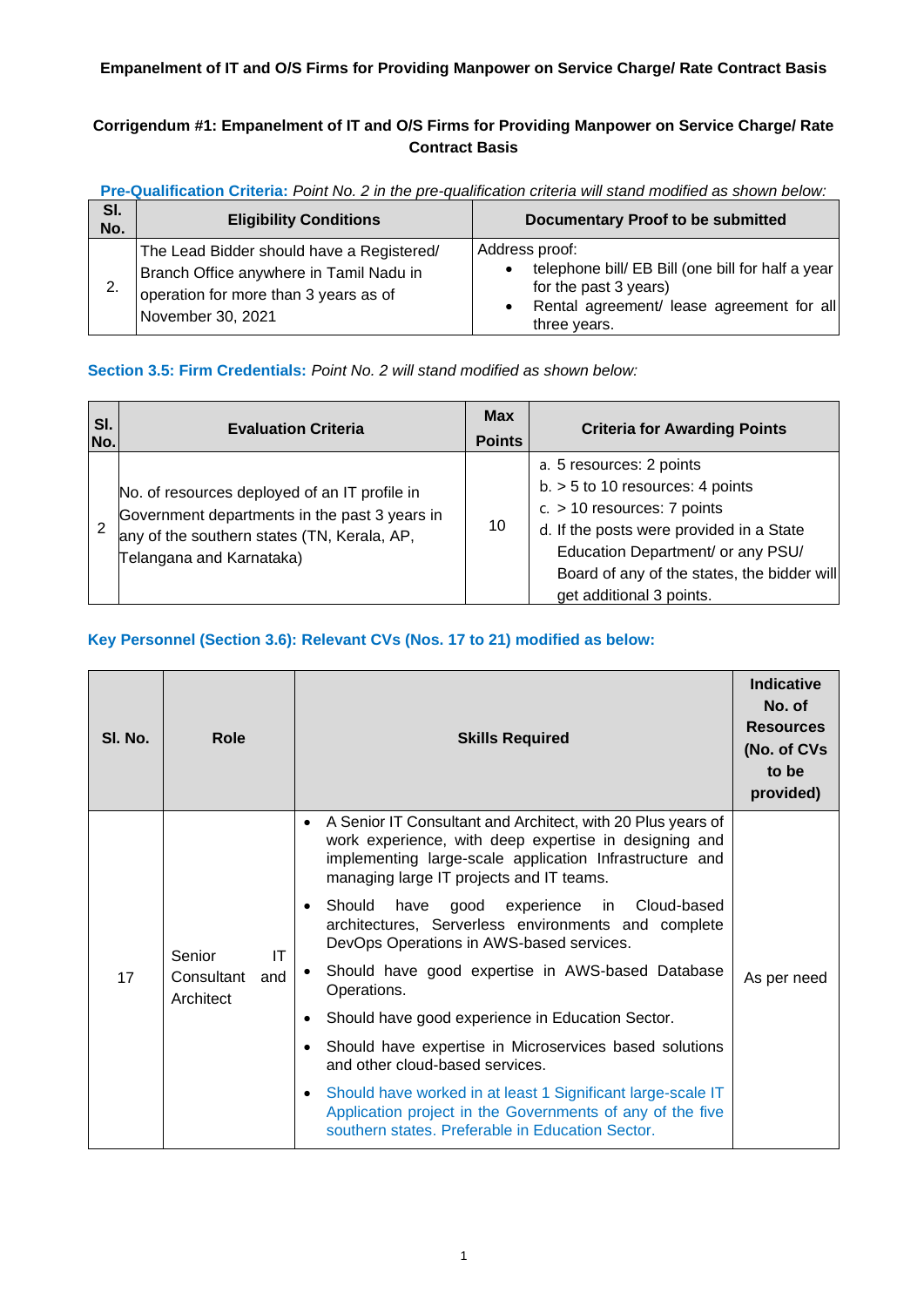#### **Empanelment of IT and O/S Firms for Providing Manpower on Service Charge/ Rate Contract Basis**

#### **Corrigendum #1: Empanelment of IT and O/S Firms for Providing Manpower on Service Charge/ Rate Contract Basis**

| SI.<br>No. | <b>Eligibility Conditions</b>                                                                                                                      | <b>Documentary Proof to be submitted</b>                                                                                                                               |
|------------|----------------------------------------------------------------------------------------------------------------------------------------------------|------------------------------------------------------------------------------------------------------------------------------------------------------------------------|
|            | The Lead Bidder should have a Registered/<br>Branch Office anywhere in Tamil Nadu in<br>operation for more than 3 years as of<br>November 30, 2021 | Address proof:<br>telephone bill/ EB Bill (one bill for half a year<br>for the past 3 years)<br>Rental agreement/ lease agreement for all<br>$\bullet$<br>three years. |

**Pre-Qualification Criteria:** *Point No. 2 in the pre-qualification criteria will stand modified as shown below:*

#### **Section 3.5: Firm Credentials:** *Point No. 2 will stand modified as shown below:*

| SI.<br>No. | <b>Evaluation Criteria</b>                                                                                                                                                | <b>Max</b><br><b>Points</b> | <b>Criteria for Awarding Points</b>                                                                                                                                                                                                                         |
|------------|---------------------------------------------------------------------------------------------------------------------------------------------------------------------------|-----------------------------|-------------------------------------------------------------------------------------------------------------------------------------------------------------------------------------------------------------------------------------------------------------|
|            | No. of resources deployed of an IT profile in<br>Government departments in the past 3 years in<br>any of the southern states (TN, Kerala, AP,<br>Telangana and Karnataka) | 10                          | a. 5 resources: 2 points<br>$b. > 5$ to 10 resources: 4 points<br>$c. > 10$ resources: 7 points<br>d. If the posts were provided in a State<br>Education Department/ or any PSU/<br>Board of any of the states, the bidder will<br>get additional 3 points. |

#### **Key Personnel (Section 3.6): Relevant CVs (Nos. 17 to 21) modified as below:**

| SI. No. | <b>Role</b>                                    | <b>Skills Required</b>                                                                                                                                                                                                      | <b>Indicative</b><br>No. of<br><b>Resources</b><br>(No. of CVs<br>to be<br>provided) |
|---------|------------------------------------------------|-----------------------------------------------------------------------------------------------------------------------------------------------------------------------------------------------------------------------------|--------------------------------------------------------------------------------------|
|         |                                                | A Senior IT Consultant and Architect, with 20 Plus years of<br>work experience, with deep expertise in designing and<br>implementing large-scale application Infrastructure and<br>managing large IT projects and IT teams. |                                                                                      |
|         | Senior<br>IT<br>Consultant<br>and<br>Architect | Should have good experience in Cloud-based<br>٠<br>architectures, Serverless environments and complete<br>DevOps Operations in AWS-based services.                                                                          |                                                                                      |
| 17      |                                                | Should have good expertise in AWS-based Database<br>Operations.                                                                                                                                                             | As per need                                                                          |
|         |                                                | Should have good experience in Education Sector.                                                                                                                                                                            |                                                                                      |
|         |                                                | Should have expertise in Microservices based solutions<br>and other cloud-based services.                                                                                                                                   |                                                                                      |
|         |                                                | Should have worked in at least 1 Significant large-scale IT<br>$\bullet$<br>Application project in the Governments of any of the five<br>southern states. Preferable in Education Sector.                                   |                                                                                      |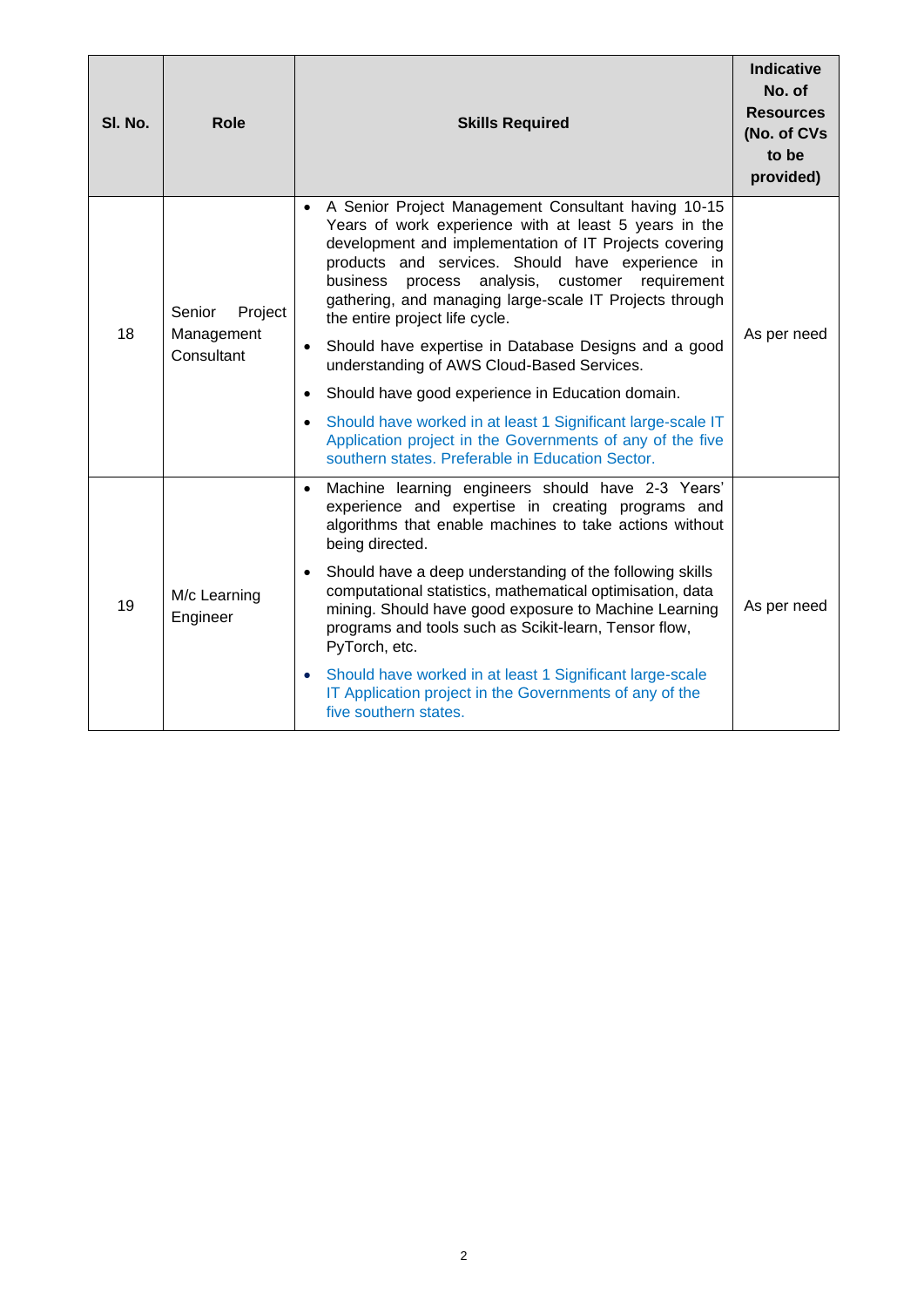| SI. No. | <b>Role</b>                                   | <b>Skills Required</b>                                                                                                                                                                                                                                                                                                                                                                                                                                                                                                                                                                           | <b>Indicative</b><br>No. of<br><b>Resources</b><br>(No. of CVs<br>to be<br>provided) |
|---------|-----------------------------------------------|--------------------------------------------------------------------------------------------------------------------------------------------------------------------------------------------------------------------------------------------------------------------------------------------------------------------------------------------------------------------------------------------------------------------------------------------------------------------------------------------------------------------------------------------------------------------------------------------------|--------------------------------------------------------------------------------------|
| 18      | Project<br>Senior<br>Management<br>Consultant | A Senior Project Management Consultant having 10-15<br>Years of work experience with at least 5 years in the<br>development and implementation of IT Projects covering<br>products and services. Should have experience in<br>process analysis, customer requirement<br>business<br>gathering, and managing large-scale IT Projects through<br>the entire project life cycle.<br>Should have expertise in Database Designs and a good<br>understanding of AWS Cloud-Based Services.                                                                                                              | As per need                                                                          |
|         |                                               | Should have good experience in Education domain.<br>Should have worked in at least 1 Significant large-scale IT<br>$\bullet$<br>Application project in the Governments of any of the five<br>southern states. Preferable in Education Sector.                                                                                                                                                                                                                                                                                                                                                    |                                                                                      |
| 19      | M/c Learning<br>Engineer                      | Machine learning engineers should have 2-3 Years'<br>experience and expertise in creating programs and<br>algorithms that enable machines to take actions without<br>being directed.<br>Should have a deep understanding of the following skills<br>computational statistics, mathematical optimisation, data<br>mining. Should have good exposure to Machine Learning<br>programs and tools such as Scikit-learn, Tensor flow,<br>PyTorch, etc.<br>Should have worked in at least 1 Significant large-scale<br>IT Application project in the Governments of any of the<br>five southern states. | As per need                                                                          |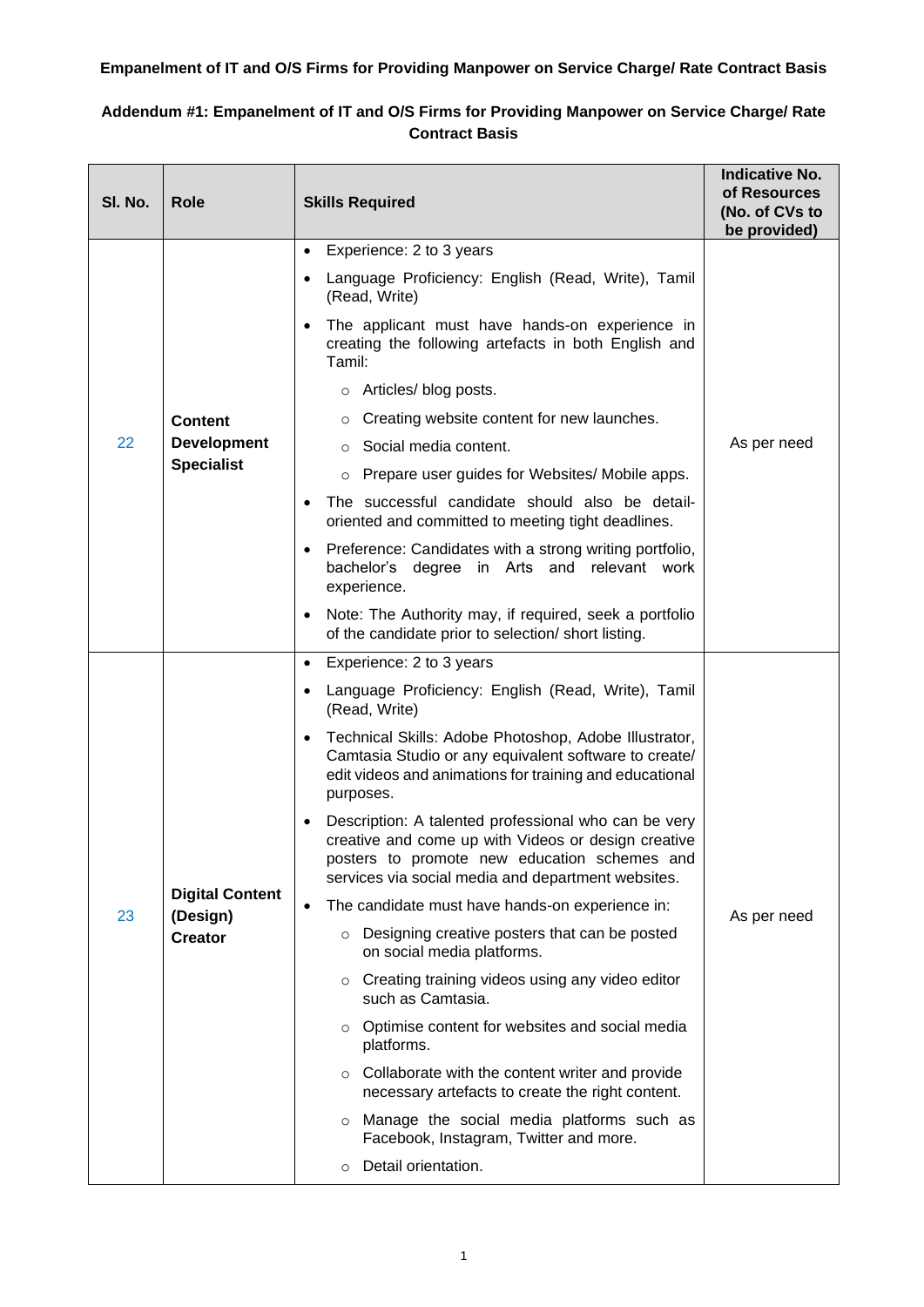# **Empanelment of IT and O/S Firms for Providing Manpower on Service Charge/ Rate Contract Basis**

# **Addendum #1: Empanelment of IT and O/S Firms for Providing Manpower on Service Charge/ Rate Contract Basis**

| SI. No. | <b>Role</b>                        | <b>Skills Required</b>                                                                                                                                                                                            | <b>Indicative No.</b><br>of Resources<br>(No. of CVs to<br>be provided) |
|---------|------------------------------------|-------------------------------------------------------------------------------------------------------------------------------------------------------------------------------------------------------------------|-------------------------------------------------------------------------|
|         |                                    | Experience: 2 to 3 years<br>$\bullet$                                                                                                                                                                             |                                                                         |
|         |                                    | Language Proficiency: English (Read, Write), Tamil<br>(Read, Write)                                                                                                                                               |                                                                         |
|         |                                    | The applicant must have hands-on experience in<br>creating the following artefacts in both English and<br>Tamil:                                                                                                  |                                                                         |
|         |                                    | o Articles/blog posts.                                                                                                                                                                                            |                                                                         |
|         | <b>Content</b>                     | Creating website content for new launches.                                                                                                                                                                        |                                                                         |
| 22      | <b>Development</b>                 | Social media content.                                                                                                                                                                                             | As per need                                                             |
|         | <b>Specialist</b>                  | Prepare user guides for Websites/ Mobile apps.<br>$\circ$                                                                                                                                                         |                                                                         |
|         |                                    | The successful candidate should also be detail-<br>oriented and committed to meeting tight deadlines.                                                                                                             |                                                                         |
|         |                                    | Preference: Candidates with a strong writing portfolio,<br>bachelor's degree in Arts and relevant work<br>experience.                                                                                             |                                                                         |
|         |                                    | Note: The Authority may, if required, seek a portfolio<br>of the candidate prior to selection/ short listing.                                                                                                     |                                                                         |
|         |                                    | Experience: 2 to 3 years<br>$\bullet$                                                                                                                                                                             |                                                                         |
|         |                                    | Language Proficiency: English (Read, Write), Tamil<br>(Read, Write)                                                                                                                                               |                                                                         |
|         |                                    | Technical Skills: Adobe Photoshop, Adobe Illustrator,<br>Camtasia Studio or any equivalent software to create/<br>edit videos and animations for training and educational<br>purposes.                            |                                                                         |
|         |                                    | Description: A talented professional who can be very<br>creative and come up with Videos or design creative<br>posters to promote new education schemes and<br>services via social media and department websites. |                                                                         |
| 23      | <b>Digital Content</b><br>(Design) | The candidate must have hands-on experience in:                                                                                                                                                                   | As per need                                                             |
|         | <b>Creator</b>                     | ○ Designing creative posters that can be posted<br>on social media platforms.                                                                                                                                     |                                                                         |
|         |                                    | Creating training videos using any video editor<br>$\circ$<br>such as Camtasia.                                                                                                                                   |                                                                         |
|         |                                    | $\circ$ Optimise content for websites and social media<br>platforms.                                                                                                                                              |                                                                         |
|         |                                    | Collaborate with the content writer and provide<br>$\circ$<br>necessary artefacts to create the right content.                                                                                                    |                                                                         |
|         |                                    | o Manage the social media platforms such as<br>Facebook, Instagram, Twitter and more.                                                                                                                             |                                                                         |
|         |                                    | Detail orientation.<br>$\circ$                                                                                                                                                                                    |                                                                         |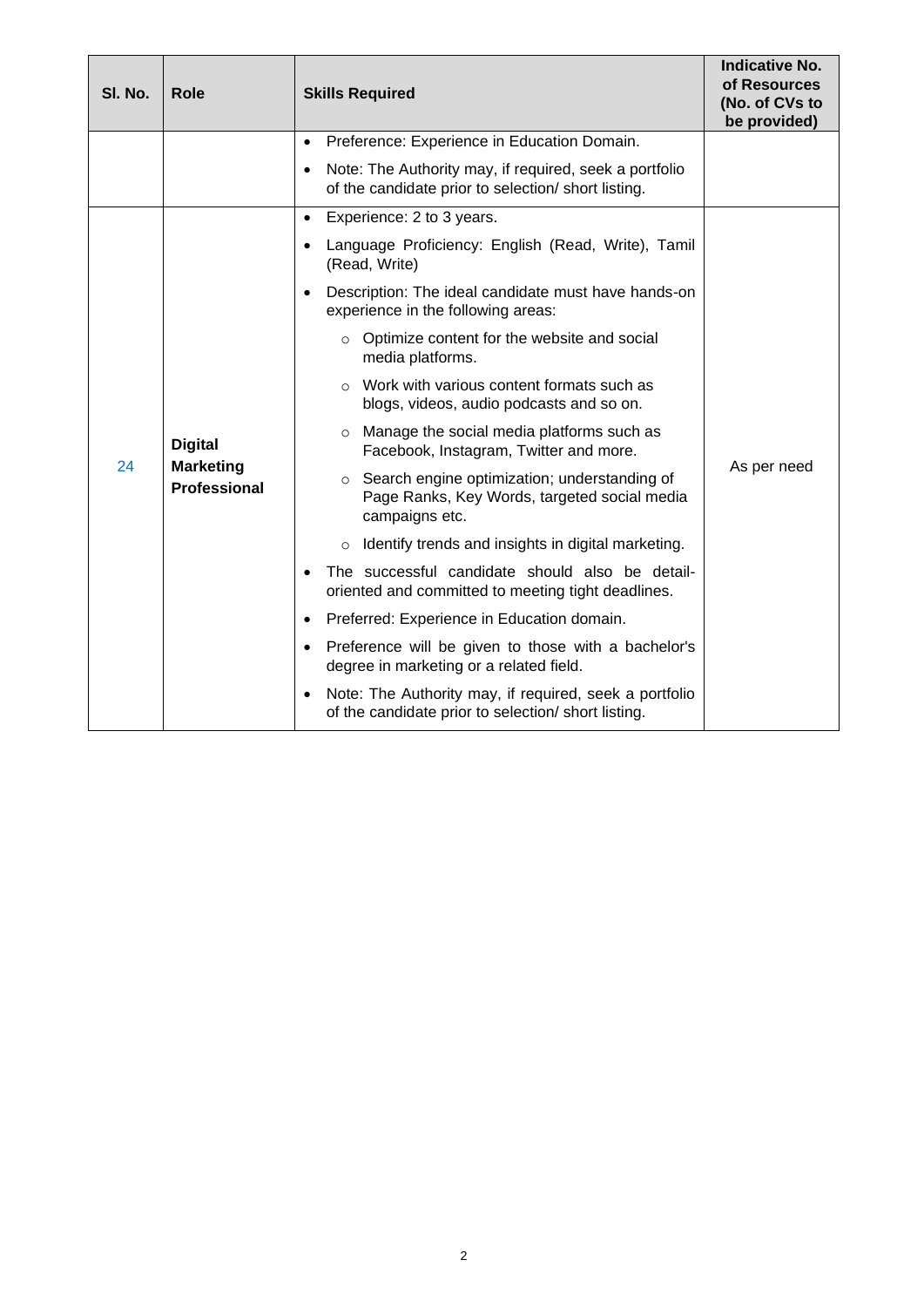| SI. No. | <b>Role</b>                                               | <b>Skills Required</b>                                                                                                     | <b>Indicative No.</b><br>of Resources<br>(No. of CVs to<br>be provided) |
|---------|-----------------------------------------------------------|----------------------------------------------------------------------------------------------------------------------------|-------------------------------------------------------------------------|
|         |                                                           | Preference: Experience in Education Domain.<br>$\bullet$                                                                   |                                                                         |
|         |                                                           | Note: The Authority may, if required, seek a portfolio<br>$\bullet$<br>of the candidate prior to selection/ short listing. |                                                                         |
|         |                                                           | Experience: 2 to 3 years.<br>$\bullet$                                                                                     |                                                                         |
|         |                                                           | Language Proficiency: English (Read, Write), Tamil<br>(Read, Write)                                                        |                                                                         |
|         |                                                           | Description: The ideal candidate must have hands-on<br>$\bullet$<br>experience in the following areas:                     |                                                                         |
|         | <b>Digital</b><br><b>Marketing</b><br><b>Professional</b> | $\circ$ Optimize content for the website and social<br>media platforms.                                                    |                                                                         |
|         |                                                           | $\circ$ Work with various content formats such as<br>blogs, videos, audio podcasts and so on.                              |                                                                         |
|         |                                                           | o Manage the social media platforms such as<br>Facebook, Instagram, Twitter and more.                                      |                                                                         |
| 24      |                                                           | ○ Search engine optimization; understanding of<br>Page Ranks, Key Words, targeted social media<br>campaigns etc.           | As per need                                                             |
|         |                                                           | Identify trends and insights in digital marketing.<br>$\circ$                                                              |                                                                         |
|         |                                                           | The successful candidate should also be detail-<br>oriented and committed to meeting tight deadlines.                      |                                                                         |
|         |                                                           | Preferred: Experience in Education domain.<br>$\bullet$                                                                    |                                                                         |
|         |                                                           | Preference will be given to those with a bachelor's<br>$\bullet$<br>degree in marketing or a related field.                |                                                                         |
|         |                                                           | Note: The Authority may, if required, seek a portfolio<br>of the candidate prior to selection/ short listing.              |                                                                         |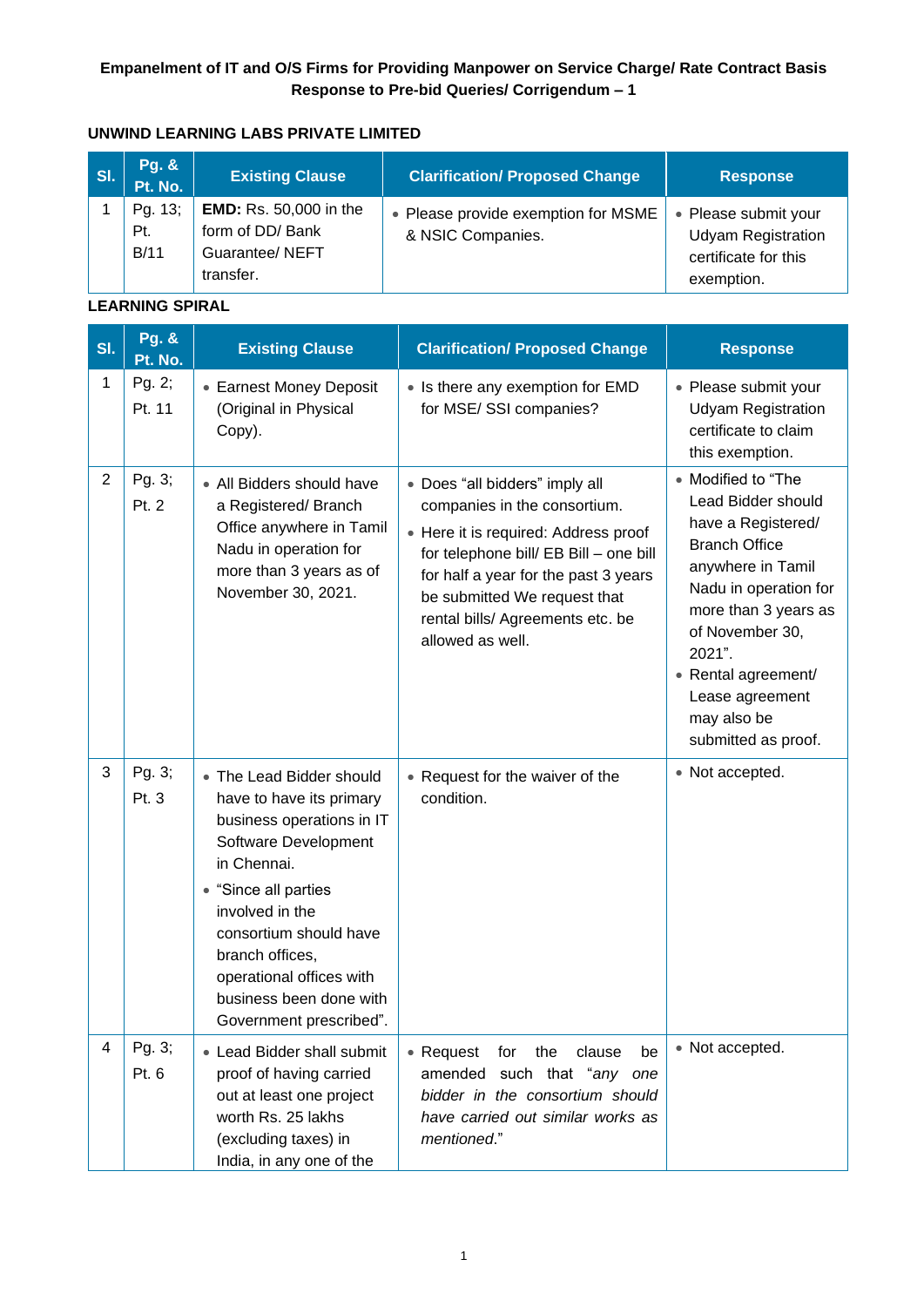## **Empanelment of IT and O/S Firms for Providing Manpower on Service Charge/ Rate Contract Basis Response to Pre-bid Queries/ Corrigendum – 1**

# **UNWIND LEARNING LABS PRIVATE LIMITED**

| <b>SI</b> | <b>Pg. &amp;</b><br>Pt. No. | <b>Existing Clause</b>                                                           | <b>Clarification/ Proposed Change</b>                    | <b>Response</b>                                                                         |
|-----------|-----------------------------|----------------------------------------------------------------------------------|----------------------------------------------------------|-----------------------------------------------------------------------------------------|
|           | Pg. 13;<br>Pt.<br>B/11      | <b>EMD:</b> Rs. 50,000 in the<br>form of DD/ Bank<br>Guarantee/NEFT<br>transfer. | • Please provide exemption for MSME<br>& NSIC Companies. | • Please submit your<br><b>Udyam Registration</b><br>certificate for this<br>exemption. |

#### **LEARNING SPIRAL**

| SI.            | <b>Pg. &amp;</b><br>Pt. No. | <b>Existing Clause</b>                                                                                                                                                                                                                                                                             | <b>Clarification/ Proposed Change</b>                                                                                                                                                                                                                                            | <b>Response</b>                                                                                                                                                                                                                                                           |
|----------------|-----------------------------|----------------------------------------------------------------------------------------------------------------------------------------------------------------------------------------------------------------------------------------------------------------------------------------------------|----------------------------------------------------------------------------------------------------------------------------------------------------------------------------------------------------------------------------------------------------------------------------------|---------------------------------------------------------------------------------------------------------------------------------------------------------------------------------------------------------------------------------------------------------------------------|
| 1              | Pg. 2;<br>Pt. 11            | • Earnest Money Deposit<br>(Original in Physical<br>Copy).                                                                                                                                                                                                                                         | • Is there any exemption for EMD<br>for MSE/SSI companies?                                                                                                                                                                                                                       | • Please submit your<br><b>Udyam Registration</b><br>certificate to claim<br>this exemption.                                                                                                                                                                              |
| $\overline{2}$ | Pg. 3;<br>Pt. 2             | • All Bidders should have<br>a Registered/Branch<br>Office anywhere in Tamil<br>Nadu in operation for<br>more than 3 years as of<br>November 30, 2021.                                                                                                                                             | • Does "all bidders" imply all<br>companies in the consortium.<br>• Here it is required: Address proof<br>for telephone bill/ EB Bill - one bill<br>for half a year for the past 3 years<br>be submitted We request that<br>rental bills/ Agreements etc. be<br>allowed as well. | • Modified to "The<br>Lead Bidder should<br>have a Registered/<br><b>Branch Office</b><br>anywhere in Tamil<br>Nadu in operation for<br>more than 3 years as<br>of November 30,<br>2021".<br>• Rental agreement/<br>Lease agreement<br>may also be<br>submitted as proof. |
| 3              | Pg. 3;<br>Pt. 3             | • The Lead Bidder should<br>have to have its primary<br>business operations in IT<br>Software Development<br>in Chennai.<br>• "Since all parties<br>involved in the<br>consortium should have<br>branch offices,<br>operational offices with<br>business been done with<br>Government prescribed". | • Request for the waiver of the<br>condition.                                                                                                                                                                                                                                    | • Not accepted.                                                                                                                                                                                                                                                           |
| 4              | Pg. 3;<br>Pt. 6             | • Lead Bidder shall submit<br>proof of having carried<br>out at least one project<br>worth Rs. 25 lakhs<br>(excluding taxes) in<br>India, in any one of the                                                                                                                                        | • Request<br>clause<br>for<br>the<br>be<br>amended such that "any one<br>bidder in the consortium should<br>have carried out similar works as<br>mentioned."                                                                                                                     | • Not accepted.                                                                                                                                                                                                                                                           |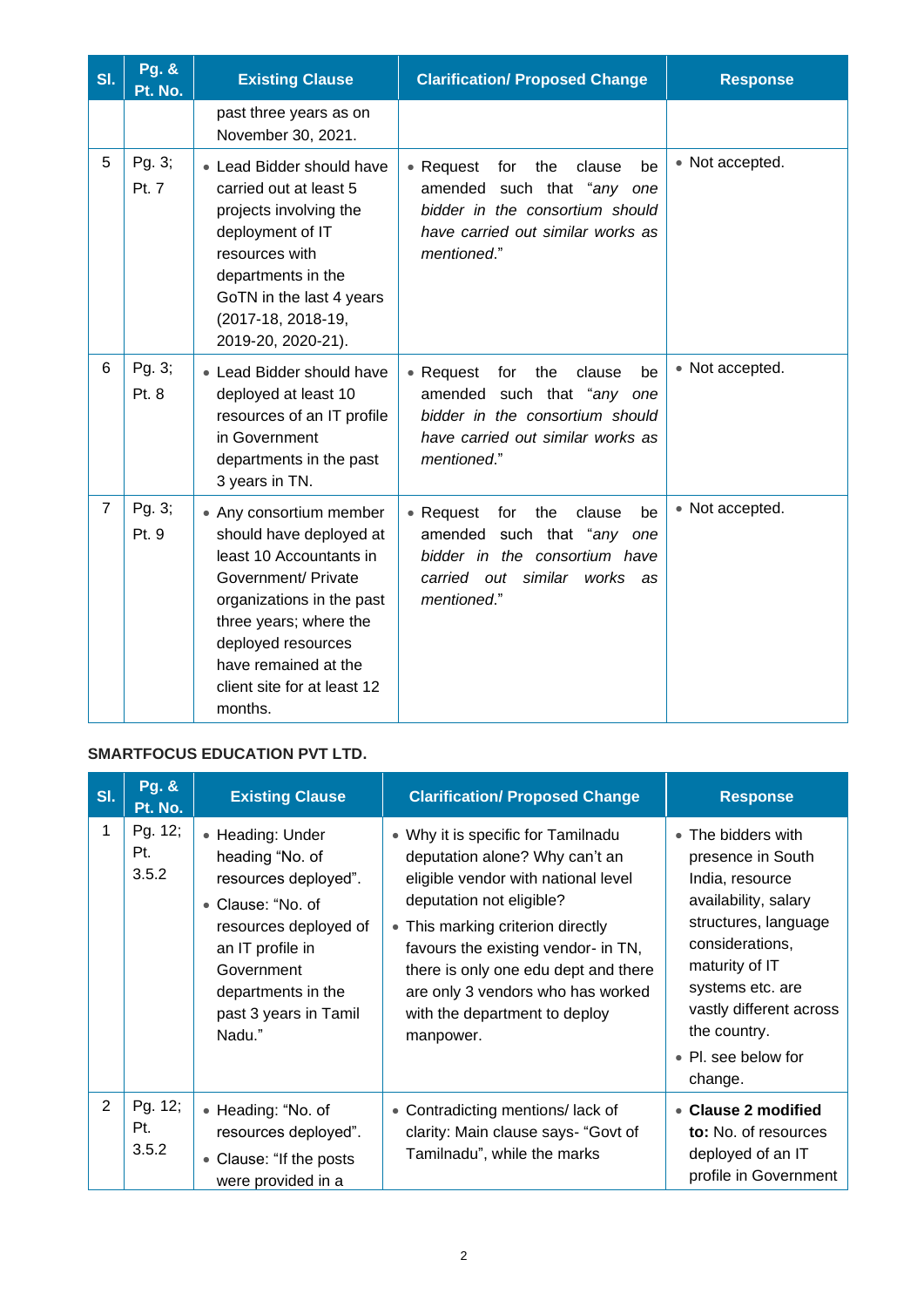| SI.            | <b>Pg. &amp;</b><br>Pt. No. | <b>Existing Clause</b>                                                                                                                                                                                                                              | <b>Clarification/ Proposed Change</b>                                                                                                                             | <b>Response</b> |
|----------------|-----------------------------|-----------------------------------------------------------------------------------------------------------------------------------------------------------------------------------------------------------------------------------------------------|-------------------------------------------------------------------------------------------------------------------------------------------------------------------|-----------------|
|                |                             | past three years as on<br>November 30, 2021.                                                                                                                                                                                                        |                                                                                                                                                                   |                 |
| 5              | Pg. 3;<br>Pt. 7             | • Lead Bidder should have<br>carried out at least 5<br>projects involving the<br>deployment of IT<br>resources with<br>departments in the<br>GoTN in the last 4 years<br>(2017-18, 2018-19,<br>2019-20, 2020-21).                                   | • Request<br>for<br>the<br>clause<br>be<br>amended such that "any one<br>bidder in the consortium should<br>have carried out similar works as<br>mentioned."      | • Not accepted. |
| 6              | Pg. 3;<br>Pt. 8             | • Lead Bidder should have<br>deployed at least 10<br>resources of an IT profile<br>in Government<br>departments in the past<br>3 years in TN.                                                                                                       | • Request<br>for<br>the<br>clause<br>be<br>amended such that "any one<br>bidder in the consortium should<br>have carried out similar works as<br>mentioned."      | • Not accepted. |
| $\overline{7}$ | Pg. 3;<br>Pt. 9             | • Any consortium member<br>should have deployed at<br>least 10 Accountants in<br>Government/ Private<br>organizations in the past<br>three years; where the<br>deployed resources<br>have remained at the<br>client site for at least 12<br>months. | • Request<br>for<br>the<br>clause<br>be<br>such that "any one<br>amended<br>bidder in the consortium have<br>out similar<br>carried<br>works<br>as<br>mentioned." | • Not accepted. |

## **SMARTFOCUS EDUCATION PVT LTD.**

| SI.            | <b>Pg. &amp;</b><br>Pt. No. | <b>Existing Clause</b>                                                                                                                                                                               | <b>Clarification/ Proposed Change</b>                                                                                                                                                                                                                                                                                                          | <b>Response</b>                                                                                                                                                                                                                                  |
|----------------|-----------------------------|------------------------------------------------------------------------------------------------------------------------------------------------------------------------------------------------------|------------------------------------------------------------------------------------------------------------------------------------------------------------------------------------------------------------------------------------------------------------------------------------------------------------------------------------------------|--------------------------------------------------------------------------------------------------------------------------------------------------------------------------------------------------------------------------------------------------|
| $\mathbf{1}$   | Pg. 12;<br>Pt.<br>3.5.2     | • Heading: Under<br>heading "No. of<br>resources deployed".<br>• Clause: "No. of<br>resources deployed of<br>an IT profile in<br>Government<br>departments in the<br>past 3 years in Tamil<br>Nadu." | • Why it is specific for Tamilnadu<br>deputation alone? Why can't an<br>eligible vendor with national level<br>deputation not eligible?<br>• This marking criterion directly<br>favours the existing vendor- in TN,<br>there is only one edu dept and there<br>are only 3 vendors who has worked<br>with the department to deploy<br>manpower. | • The bidders with<br>presence in South<br>India, resource<br>availability, salary<br>structures, language<br>considerations,<br>maturity of IT<br>systems etc. are<br>vastly different across<br>the country.<br>• Pl. see below for<br>change. |
| $\overline{2}$ | Pg. 12;<br>Pt.<br>3.5.2     | • Heading: "No. of<br>resources deployed".<br>• Clause: "If the posts<br>were provided in a                                                                                                          | • Contradicting mentions/lack of<br>clarity: Main clause says- "Govt of<br>Tamilnadu", while the marks                                                                                                                                                                                                                                         | • Clause 2 modified<br>to: No. of resources<br>deployed of an IT<br>profile in Government                                                                                                                                                        |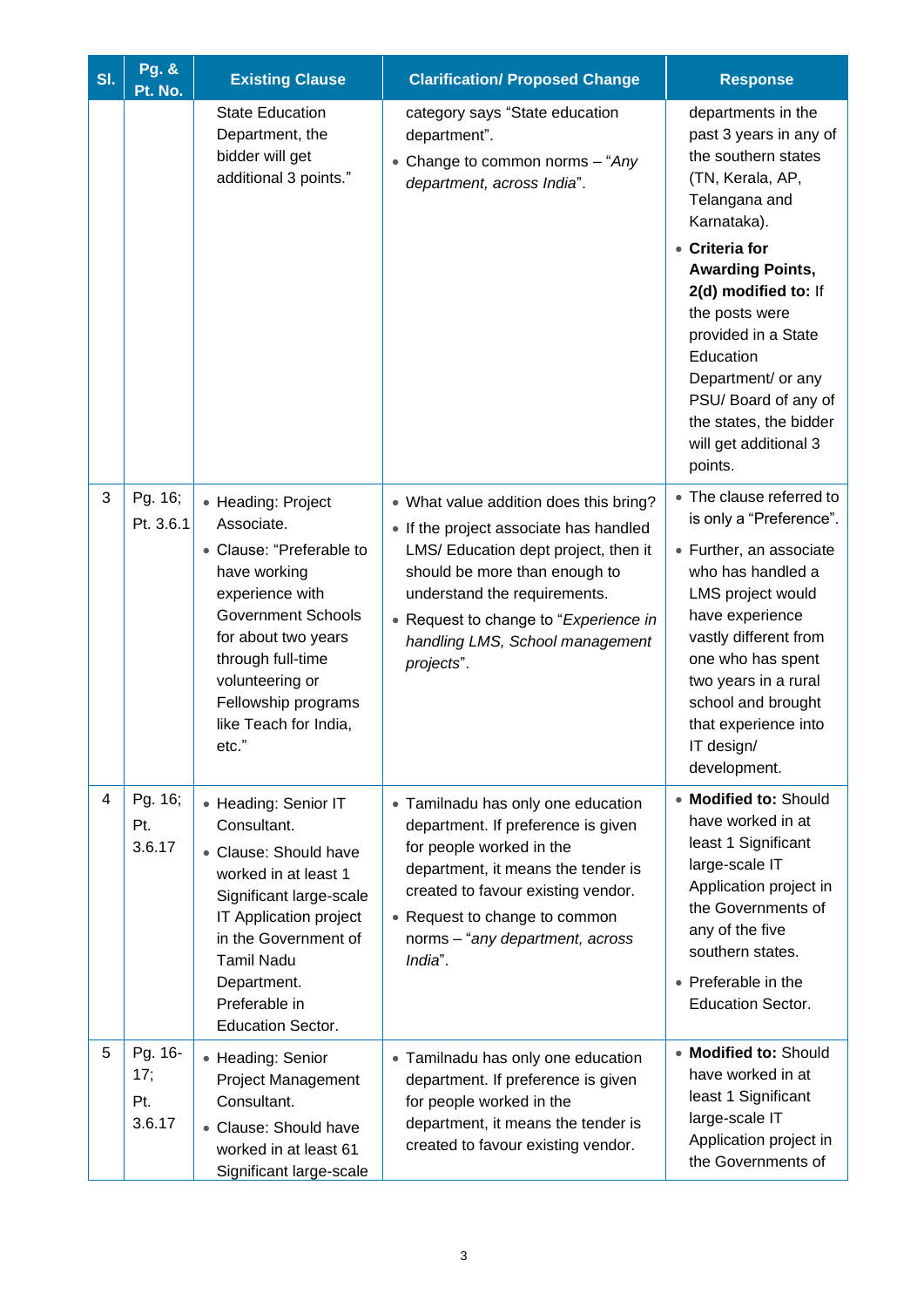| SI. | <b>Pg. &amp;</b><br>Pt. No.     | <b>Existing Clause</b>                                                                                                                                                                                                                               | <b>Clarification/ Proposed Change</b>                                                                                                                                                                                                                                               | <b>Response</b>                                                                                                                                                                                                                                                                               |
|-----|---------------------------------|------------------------------------------------------------------------------------------------------------------------------------------------------------------------------------------------------------------------------------------------------|-------------------------------------------------------------------------------------------------------------------------------------------------------------------------------------------------------------------------------------------------------------------------------------|-----------------------------------------------------------------------------------------------------------------------------------------------------------------------------------------------------------------------------------------------------------------------------------------------|
|     |                                 | <b>State Education</b><br>Department, the<br>bidder will get<br>additional 3 points."                                                                                                                                                                | category says "State education<br>department".<br>• Change to common norms $-$ "Any<br>department, across India".                                                                                                                                                                   | departments in the<br>past 3 years in any of<br>the southern states<br>(TN, Kerala, AP,<br>Telangana and<br>Karnataka).                                                                                                                                                                       |
|     |                                 |                                                                                                                                                                                                                                                      |                                                                                                                                                                                                                                                                                     | • Criteria for<br><b>Awarding Points,</b><br>2(d) modified to: If<br>the posts were<br>provided in a State<br>Education<br>Department/ or any<br>PSU/Board of any of<br>the states, the bidder<br>will get additional 3<br>points.                                                            |
| 3   | Pg. 16;<br>Pt. 3.6.1            | • Heading: Project<br>Associate.<br>• Clause: "Preferable to<br>have working<br>experience with<br><b>Government Schools</b><br>for about two years<br>through full-time<br>volunteering or<br>Fellowship programs<br>like Teach for India,<br>etc." | • What value addition does this bring?<br>• If the project associate has handled<br>LMS/ Education dept project, then it<br>should be more than enough to<br>understand the requirements.<br>• Request to change to "Experience in<br>handling LMS, School management<br>projects". | • The clause referred to<br>is only a "Preference".<br>• Further, an associate<br>who has handled a<br>LMS project would<br>have experience<br>vastly different from<br>one who has spent<br>two years in a rural<br>school and brought<br>that experience into<br>IT design/<br>development. |
| 4   | Pg. 16;<br>Pt.<br>3.6.17        | • Heading: Senior IT<br>Consultant.<br>• Clause: Should have<br>worked in at least 1<br>Significant large-scale<br>IT Application project<br>in the Government of<br><b>Tamil Nadu</b><br>Department.<br>Preferable in<br><b>Education Sector.</b>   | • Tamilnadu has only one education<br>department. If preference is given<br>for people worked in the<br>department, it means the tender is<br>created to favour existing vendor.<br>• Request to change to common<br>norms - "any department, across<br>India".                     | • Modified to: Should<br>have worked in at<br>least 1 Significant<br>large-scale IT<br>Application project in<br>the Governments of<br>any of the five<br>southern states.<br>• Preferable in the<br><b>Education Sector.</b>                                                                 |
| 5   | Pg. 16-<br>17;<br>Pt.<br>3.6.17 | • Heading: Senior<br><b>Project Management</b><br>Consultant.<br>• Clause: Should have<br>worked in at least 61<br>Significant large-scale                                                                                                           | • Tamilnadu has only one education<br>department. If preference is given<br>for people worked in the<br>department, it means the tender is<br>created to favour existing vendor.                                                                                                    | • Modified to: Should<br>have worked in at<br>least 1 Significant<br>large-scale IT<br>Application project in<br>the Governments of                                                                                                                                                           |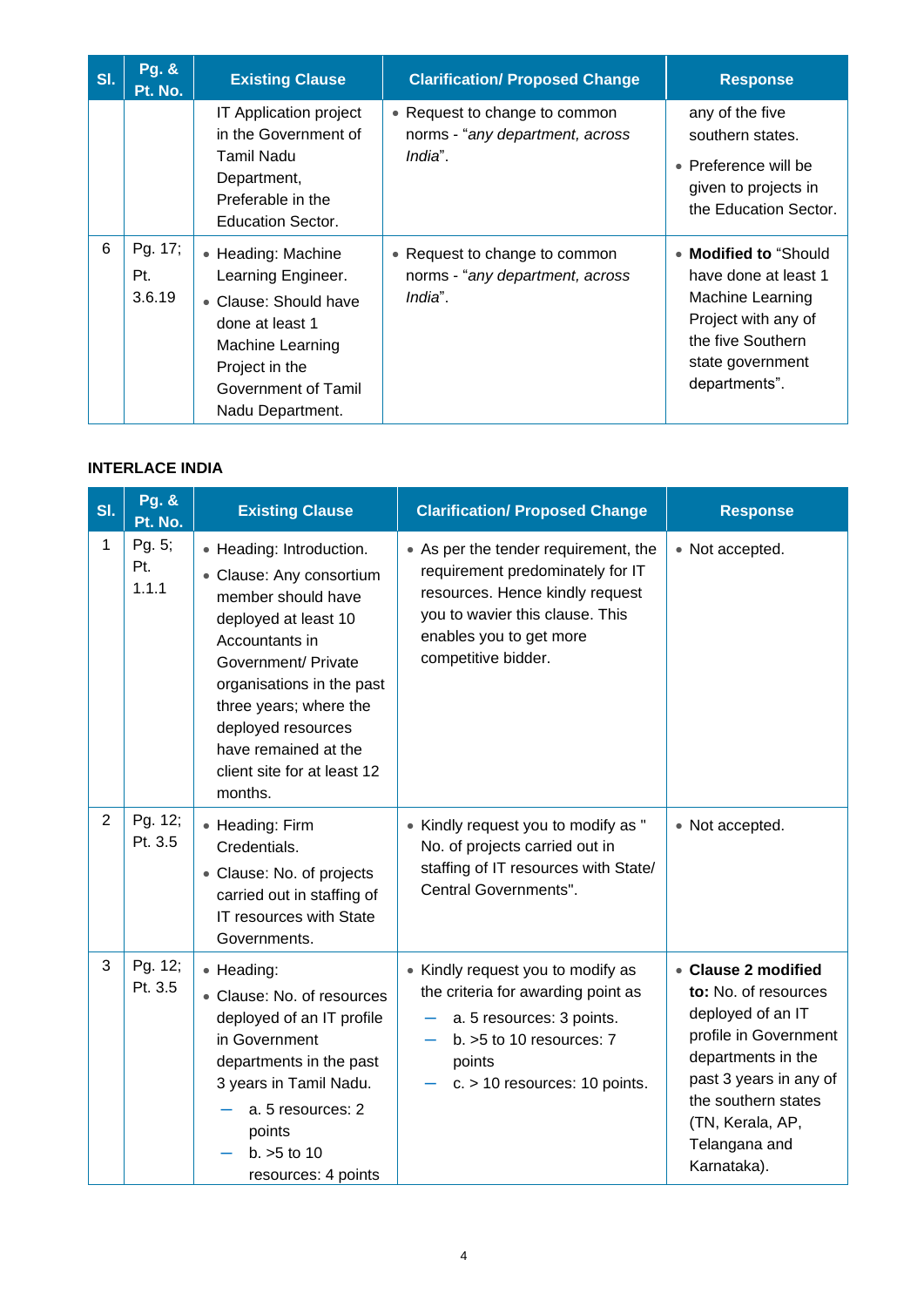| SI. | Pg. &<br>Pt. No.         | <b>Existing Clause</b>                                                                                                                                                | <b>Clarification/ Proposed Change</b>                                       | <b>Response</b>                                                                                                                                     |
|-----|--------------------------|-----------------------------------------------------------------------------------------------------------------------------------------------------------------------|-----------------------------------------------------------------------------|-----------------------------------------------------------------------------------------------------------------------------------------------------|
|     |                          | IT Application project<br>in the Government of<br>Tamil Nadu<br>Department,<br>Preferable in the<br>Education Sector.                                                 | • Request to change to common<br>norms - "any department, across<br>India". | any of the five<br>southern states.<br>• Preference will be<br>given to projects in<br>the Education Sector.                                        |
| 6   | Pg. 17;<br>Pt.<br>3.6.19 | • Heading: Machine<br>Learning Engineer.<br>• Clause: Should have<br>done at least 1<br>Machine Learning<br>Project in the<br>Government of Tamil<br>Nadu Department. | • Request to change to common<br>norms - "any department, across<br>India". | • Modified to "Should"<br>have done at least 1<br>Machine Learning<br>Project with any of<br>the five Southern<br>state government<br>departments". |

# **INTERLACE INDIA**

| SI.            | <b>Pg. &amp;</b><br>Pt. No. | <b>Existing Clause</b>                                                                                                                                                                                                                                                                     | <b>Clarification/ Proposed Change</b>                                                                                                                                                            | <b>Response</b>                                                                                                                                                                                                      |
|----------------|-----------------------------|--------------------------------------------------------------------------------------------------------------------------------------------------------------------------------------------------------------------------------------------------------------------------------------------|--------------------------------------------------------------------------------------------------------------------------------------------------------------------------------------------------|----------------------------------------------------------------------------------------------------------------------------------------------------------------------------------------------------------------------|
| 1              | Pg. 5;<br>Pt.<br>1.1.1      | • Heading: Introduction.<br>• Clause: Any consortium<br>member should have<br>deployed at least 10<br>Accountants in<br>Government/ Private<br>organisations in the past<br>three years; where the<br>deployed resources<br>have remained at the<br>client site for at least 12<br>months. | • As per the tender requirement, the<br>requirement predominately for IT<br>resources. Hence kindly request<br>you to wavier this clause. This<br>enables you to get more<br>competitive bidder. | • Not accepted.                                                                                                                                                                                                      |
| $\overline{2}$ | Pg. 12;<br>Pt. 3.5          | • Heading: Firm<br>Credentials.<br>• Clause: No. of projects<br>carried out in staffing of<br>IT resources with State<br>Governments.                                                                                                                                                      | • Kindly request you to modify as "<br>No. of projects carried out in<br>staffing of IT resources with State/<br>Central Governments".                                                           | • Not accepted.                                                                                                                                                                                                      |
| 3              | Pg. 12;<br>Pt. 3.5          | • Heading:<br>• Clause: No. of resources<br>deployed of an IT profile<br>in Government<br>departments in the past<br>3 years in Tamil Nadu.<br>a. 5 resources: 2<br>points<br>$b. > 5$ to 10<br>resources: 4 points                                                                        | • Kindly request you to modify as<br>the criteria for awarding point as<br>a. 5 resources: 3 points.<br>b. $>5$ to 10 resources: $7$<br>points<br>$c. > 10$ resources: 10 points.                | • Clause 2 modified<br>to: No. of resources<br>deployed of an IT<br>profile in Government<br>departments in the<br>past 3 years in any of<br>the southern states<br>(TN, Kerala, AP,<br>Telangana and<br>Karnataka). |